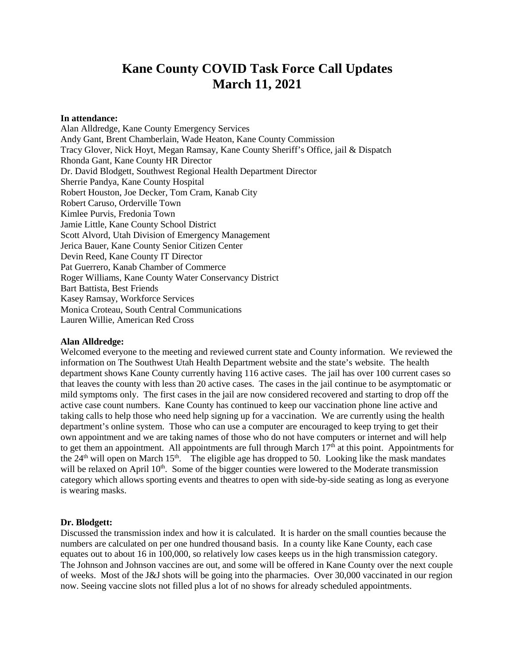# **Kane County COVID Task Force Call Updates March 11, 2021**

#### **In attendance:**

Alan Alldredge, Kane County Emergency Services Andy Gant, Brent Chamberlain, Wade Heaton, Kane County Commission Tracy Glover, Nick Hoyt, Megan Ramsay, Kane County Sheriff's Office, jail & Dispatch Rhonda Gant, Kane County HR Director Dr. David Blodgett, Southwest Regional Health Department Director Sherrie Pandya, Kane County Hospital Robert Houston, Joe Decker, Tom Cram, Kanab City Robert Caruso, Orderville Town Kimlee Purvis, Fredonia Town Jamie Little, Kane County School District Scott Alvord, Utah Division of Emergency Management Jerica Bauer, Kane County Senior Citizen Center Devin Reed, Kane County IT Director Pat Guerrero, Kanab Chamber of Commerce Roger Williams, Kane County Water Conservancy District Bart Battista, Best Friends Kasey Ramsay, Workforce Services Monica Croteau, South Central Communications Lauren Willie, American Red Cross

#### **Alan Alldredge:**

Welcomed everyone to the meeting and reviewed current state and County information. We reviewed the information on The Southwest Utah Health Department website and the state's website. The health department shows Kane County currently having 116 active cases. The jail has over 100 current cases so that leaves the county with less than 20 active cases. The cases in the jail continue to be asymptomatic or mild symptoms only. The first cases in the jail are now considered recovered and starting to drop off the active case count numbers. Kane County has continued to keep our vaccination phone line active and taking calls to help those who need help signing up for a vaccination. We are currently using the health department's online system. Those who can use a computer are encouraged to keep trying to get their own appointment and we are taking names of those who do not have computers or internet and will help to get them an appointment. All appointments are full through March  $17<sup>th</sup>$  at this point. Appointments for the  $24<sup>th</sup>$  will open on March 15<sup>th</sup>. The eligible age has dropped to 50. Looking like the mask mandates will be relaxed on April 10<sup>th</sup>. Some of the bigger counties were lowered to the Moderate transmission category which allows sporting events and theatres to open with side-by-side seating as long as everyone is wearing masks.

## **Dr. Blodgett:**

Discussed the transmission index and how it is calculated. It is harder on the small counties because the numbers are calculated on per one hundred thousand basis. In a county like Kane County, each case equates out to about 16 in 100,000, so relatively low cases keeps us in the high transmission category. The Johnson and Johnson vaccines are out, and some will be offered in Kane County over the next couple of weeks. Most of the J&J shots will be going into the pharmacies. Over 30,000 vaccinated in our region now. Seeing vaccine slots not filled plus a lot of no shows for already scheduled appointments.